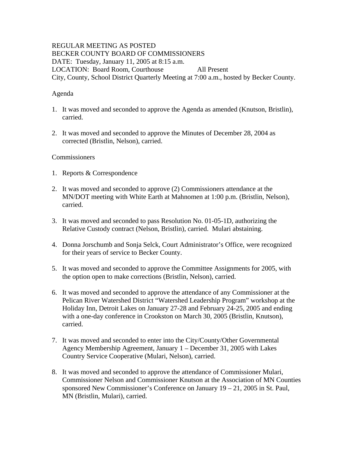### REGULAR MEETING AS POSTED BECKER COUNTY BOARD OF COMMISSIONERS DATE: Tuesday, January 11, 2005 at 8:15 a.m. LOCATION: Board Room, Courthouse All Present City, County, School District Quarterly Meeting at 7:00 a.m., hosted by Becker County.

# Agenda

- 1. It was moved and seconded to approve the Agenda as amended (Knutson, Bristlin), carried.
- 2. It was moved and seconded to approve the Minutes of December 28, 2004 as corrected (Bristlin, Nelson), carried.

### Commissioners

- 1. Reports & Correspondence
- 2. It was moved and seconded to approve (2) Commissioners attendance at the MN/DOT meeting with White Earth at Mahnomen at 1:00 p.m. (Bristlin, Nelson), carried.
- 3. It was moved and seconded to pass Resolution No. 01-05-1D, authorizing the Relative Custody contract (Nelson, Bristlin), carried. Mulari abstaining.
- 4. Donna Jorschumb and Sonja Selck, Court Administrator's Office, were recognized for their years of service to Becker County.
- 5. It was moved and seconded to approve the Committee Assignments for 2005, with the option open to make corrections (Bristlin, Nelson), carried.
- 6. It was moved and seconded to approve the attendance of any Commissioner at the Pelican River Watershed District "Watershed Leadership Program" workshop at the Holiday Inn, Detroit Lakes on January 27-28 and February 24-25, 2005 and ending with a one-day conference in Crookston on March 30, 2005 (Bristlin, Knutson), carried.
- 7. It was moved and seconded to enter into the City/County/Other Governmental Agency Membership Agreement, January 1 – December 31, 2005 with Lakes Country Service Cooperative (Mulari, Nelson), carried.
- 8. It was moved and seconded to approve the attendance of Commissioner Mulari, Commissioner Nelson and Commissioner Knutson at the Association of MN Counties sponsored New Commissioner's Conference on January 19 – 21, 2005 in St. Paul, MN (Bristlin, Mulari), carried.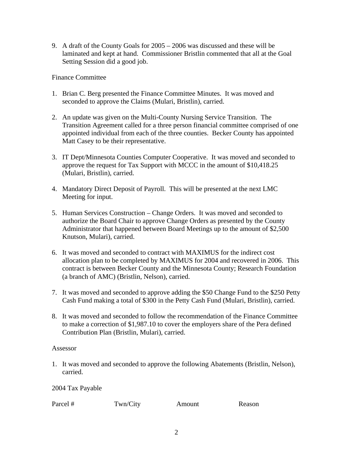9. A draft of the County Goals for 2005 – 2006 was discussed and these will be laminated and kept at hand. Commissioner Bristlin commented that all at the Goal Setting Session did a good job.

Finance Committee

- 1. Brian C. Berg presented the Finance Committee Minutes. It was moved and seconded to approve the Claims (Mulari, Bristlin), carried.
- 2. An update was given on the Multi-County Nursing Service Transition. The Transition Agreement called for a three person financial committee comprised of one appointed individual from each of the three counties. Becker County has appointed Matt Casey to be their representative.
- 3. IT Dept/Minnesota Counties Computer Cooperative. It was moved and seconded to approve the request for Tax Support with MCCC in the amount of \$10,418.25 (Mulari, Bristlin), carried.
- 4. Mandatory Direct Deposit of Payroll. This will be presented at the next LMC Meeting for input.
- 5. Human Services Construction Change Orders. It was moved and seconded to authorize the Board Chair to approve Change Orders as presented by the County Administrator that happened between Board Meetings up to the amount of \$2,500 Knutson, Mulari), carried.
- 6. It was moved and seconded to contract with MAXIMUS for the indirect cost allocation plan to be completed by MAXIMUS for 2004 and recovered in 2006. This contract is between Becker County and the Minnesota County; Research Foundation (a branch of AMC) (Bristlin, Nelson), carried.
- 7. It was moved and seconded to approve adding the \$50 Change Fund to the \$250 Petty Cash Fund making a total of \$300 in the Petty Cash Fund (Mulari, Bristlin), carried.
- 8. It was moved and seconded to follow the recommendation of the Finance Committee to make a correction of \$1,987.10 to cover the employers share of the Pera defined Contribution Plan (Bristlin, Mulari), carried.

### Assessor

1. It was moved and seconded to approve the following Abatements (Bristlin, Nelson), carried.

2004 Tax Payable

Parcel # Twn/City Amount Reason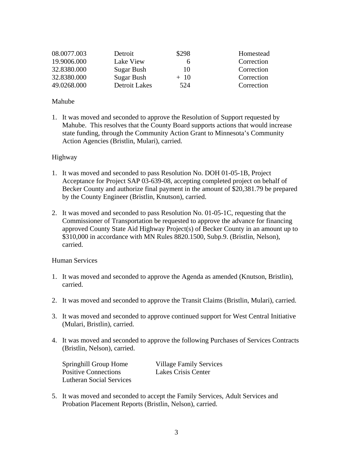| 08.0077.003 | Detroit       | \$298 | Homestead  |
|-------------|---------------|-------|------------|
| 19.9006.000 | Lake View     | h     | Correction |
| 32.8380.000 | Sugar Bush    | 10    | Correction |
| 32.8380.000 | Sugar Bush    | $+10$ | Correction |
| 49.0268.000 | Detroit Lakes | 524   | Correction |

### Mahube

1. It was moved and seconded to approve the Resolution of Support requested by Mahube. This resolves that the County Board supports actions that would increase state funding, through the Community Action Grant to Minnesota's Community Action Agencies (Bristlin, Mulari), carried.

## Highway

- 1. It was moved and seconded to pass Resolution No. DOH 01-05-1B, Project Acceptance for Project SAP 03-639-08, accepting completed project on behalf of Becker County and authorize final payment in the amount of \$20,381.79 be prepared by the County Engineer (Bristlin, Knutson), carried.
- 2. It was moved and seconded to pass Resolution No. 01-05-1C, requesting that the Commissioner of Transportation be requested to approve the advance for financing approved County State Aid Highway Project(s) of Becker County in an amount up to \$310,000 in accordance with MN Rules 8820.1500, Subp.9. (Bristlin, Nelson), carried.

### Human Services

- 1. It was moved and seconded to approve the Agenda as amended (Knutson, Bristlin), carried.
- 2. It was moved and seconded to approve the Transit Claims (Bristlin, Mulari), carried.
- 3. It was moved and seconded to approve continued support for West Central Initiative (Mulari, Bristlin), carried.
- 4. It was moved and seconded to approve the following Purchases of Services Contracts (Bristlin, Nelson), carried.

| Springhill Group Home           |  |  |  |
|---------------------------------|--|--|--|
| <b>Positive Connections</b>     |  |  |  |
| <b>Lutheran Social Services</b> |  |  |  |

Village Family Services Lakes Crisis Center

5. It was moved and seconded to accept the Family Services, Adult Services and Probation Placement Reports (Bristlin, Nelson), carried.